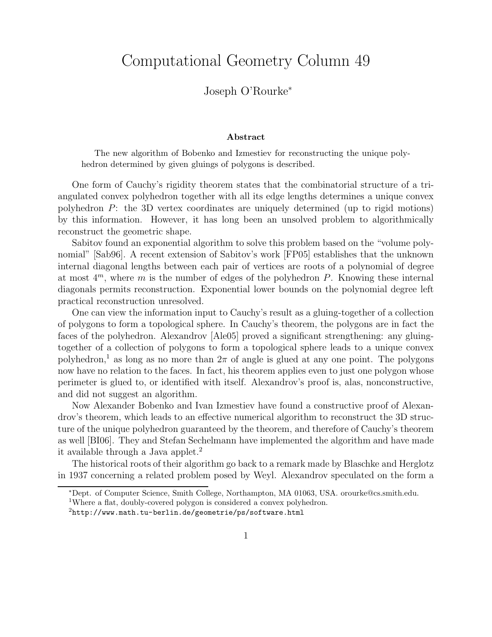## Computational Geometry Column 49

## Joseph O'Rourke<sup>∗</sup>

## Abstract

The new algorithm of Bobenko and Izmestiev for reconstructing the unique polyhedron determined by given gluings of polygons is described.

One form of Cauchy's rigidity theorem states that the combinatorial structure of a triangulated convex polyhedron together with all its edge lengths determines a unique convex polyhedron  $P$ : the 3D vertex coordinates are uniquely determined (up to rigid motions) by this information. However, it has long been an unsolved problem to algorithmically reconstruct the geometric shape.

Sabitov found an exponential algorithm to solve this problem based on the "volume polynomial" [Sab96]. A recent extension of Sabitov's work [FP05] establishes that the unknown internal diagonal lengths between each pair of vertices are roots of a polynomial of degree at most  $4^m$ , where m is the number of edges of the polyhedron P. Knowing these internal diagonals permits reconstruction. Exponential lower bounds on the polynomial degree left practical reconstruction unresolved.

One can view the information input to Cauchy's result as a gluing-together of a collection of polygons to form a topological sphere. In Cauchy's theorem, the polygons are in fact the faces of the polyhedron. Alexandrov [Ale05] proved a significant strengthening: any gluingtogether of a collection of polygons to form a topological sphere leads to a unique convex polyhedron,<sup>1</sup> as long as no more than  $2\pi$  of angle is glued at any one point. The polygons now have no relation to the faces. In fact, his theorem applies even to just one polygon whose perimeter is glued to, or identified with itself. Alexandrov's proof is, alas, nonconstructive, and did not suggest an algorithm.

Now Alexander Bobenko and Ivan Izmestiev have found a constructive proof of Alexandrov's theorem, which leads to an effective numerical algorithm to reconstruct the 3D structure of the unique polyhedron guaranteed by the theorem, and therefore of Cauchy's theorem as well [BI06]. They and Stefan Sechelmann have implemented the algorithm and have made it available through a Java applet.<sup>2</sup>

The historical roots of their algorithm go back to a remark made by Blaschke and Herglotz in 1937 concerning a related problem posed by Weyl. Alexandrov speculated on the form a

<sup>∗</sup>Dept. of Computer Science, Smith College, Northampton, MA 01063, USA. orourke@cs.smith.edu.

<sup>1</sup>Where a flat, doubly-covered polygon is considered a convex polyhedron.

 $2$ http://www.math.tu-berlin.de/geometrie/ps/software.html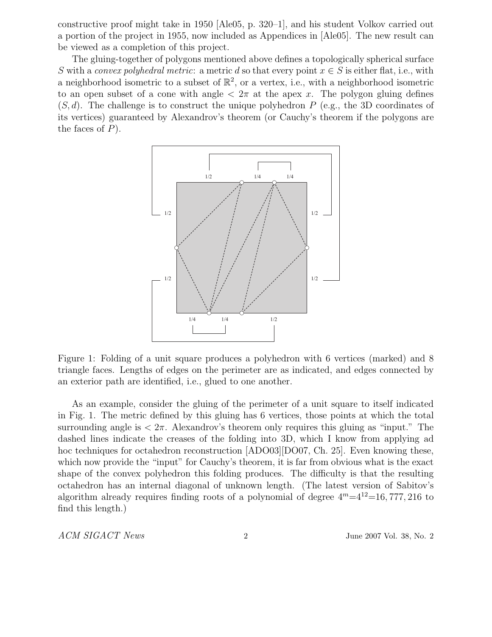constructive proof might take in 1950 [Ale05, p. 320–1], and his student Volkov carried out a portion of the project in 1955, now included as Appendices in [Ale05]. The new result can be viewed as a completion of this project.

The gluing-together of polygons mentioned above defines a topologically spherical surface S with a convex polyhedral metric: a metric d so that every point  $x \in S$  is either flat, i.e., with a neighborhood isometric to a subset of  $\mathbb{R}^2$ , or a vertex, i.e., with a neighborhood isometric to an open subset of a cone with angle  $\langle 2\pi \rangle$  at the apex x. The polygon gluing defines  $(S, d)$ . The challenge is to construct the unique polyhedron P (e.g., the 3D coordinates of its vertices) guaranteed by Alexandrov's theorem (or Cauchy's theorem if the polygons are the faces of  $P$ ).



Figure 1: Folding of a unit square produces a polyhedron with 6 vertices (marked) and 8 triangle faces. Lengths of edges on the perimeter are as indicated, and edges connected by an exterior path are identified, i.e., glued to one another.

As an example, consider the gluing of the perimeter of a unit square to itself indicated in Fig. 1. The metric defined by this gluing has 6 vertices, those points at which the total surrounding angle is  $\langle 2\pi$ . Alexandrov's theorem only requires this gluing as "input." The dashed lines indicate the creases of the folding into 3D, which I know from applying ad hoc techniques for octahedron reconstruction [ADO03][DO07, Ch. 25]. Even knowing these, which now provide the "input" for Cauchy's theorem, it is far from obvious what is the exact shape of the convex polyhedron this folding produces. The difficulty is that the resulting octahedron has an internal diagonal of unknown length. (The latest version of Sabitov's algorithm already requires finding roots of a polynomial of degree  $4^m=4^{12}=16, 777, 216$  to find this length.)

ACM SIGACT News 2 3 June 2007 Vol. 38, No. 2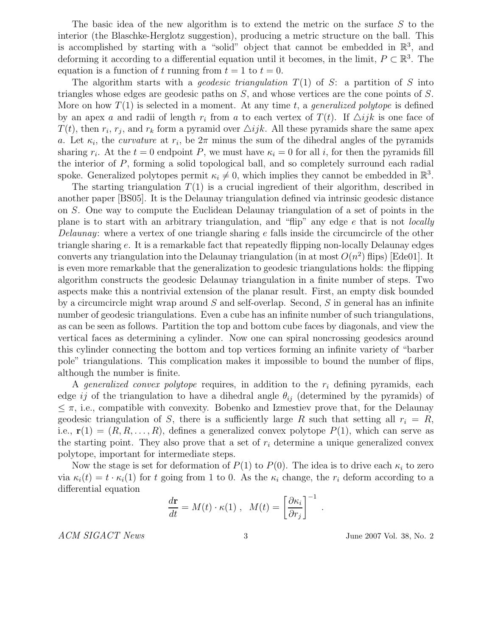The basic idea of the new algorithm is to extend the metric on the surface S to the interior (the Blaschke-Herglotz suggestion), producing a metric structure on the ball. This is accomplished by starting with a "solid" object that cannot be embedded in  $\mathbb{R}^3$ , and deforming it according to a differential equation until it becomes, in the limit,  $P \subset \mathbb{R}^3$ . The equation is a function of t running from  $t = 1$  to  $t = 0$ .

The algorithm starts with a *geodesic triangulation*  $T(1)$  of S: a partition of S into triangles whose edges are geodesic paths on S, and whose vertices are the cone points of S. More on how  $T(1)$  is selected in a moment. At any time t, a *generalized polytope* is defined by an apex a and radii of length  $r_i$  from a to each vertex of  $T(t)$ . If  $\triangle ijk$  is one face of  $T(t)$ , then  $r_i$ ,  $r_j$ , and  $r_k$  form a pyramid over  $\triangle ijk$ . All these pyramids share the same apex a. Let  $\kappa_i$ , the *curvature* at  $r_i$ , be  $2\pi$  minus the sum of the dihedral angles of the pyramids sharing  $r_i$ . At the  $t = 0$  endpoint P, we must have  $\kappa_i = 0$  for all i, for then the pyramids fill the interior of P, forming a solid topological ball, and so completely surround each radial spoke. Generalized polytopes permit  $\kappa_i \neq 0$ , which implies they cannot be embedded in  $\mathbb{R}^3$ .

The starting triangulation  $T(1)$  is a crucial ingredient of their algorithm, described in another paper [BS05]. It is the Delaunay triangulation defined via intrinsic geodesic distance on S. One way to compute the Euclidean Delaunay triangulation of a set of points in the plane is to start with an arbitrary triangulation, and "flip" any edge  $e$  that is not *locally* Delaunay: where a vertex of one triangle sharing e falls inside the circumcircle of the other triangle sharing e. It is a remarkable fact that repeatedly flipping non-locally Delaunay edges converts any triangulation into the Delaunay triangulation (in at most  $O(n^2)$  flips) [Ede01]. It is even more remarkable that the generalization to geodesic triangulations holds: the flipping algorithm constructs the geodesic Delaunay triangulation in a finite number of steps. Two aspects make this a nontrivial extension of the planar result. First, an empty disk bounded by a circumcircle might wrap around  $S$  and self-overlap. Second,  $S$  in general has an infinite number of geodesic triangulations. Even a cube has an infinite number of such triangulations, as can be seen as follows. Partition the top and bottom cube faces by diagonals, and view the vertical faces as determining a cylinder. Now one can spiral noncrossing geodesics around this cylinder connecting the bottom and top vertices forming an infinite variety of "barber pole" triangulations. This complication makes it impossible to bound the number of flips, although the number is finite.

A *generalized convex polytope* requires, in addition to the  $r_i$  defining pyramids, each edge ij of the triangulation to have a dihedral angle  $\theta_{ij}$  (determined by the pyramids) of  $\leq \pi$ , i.e., compatible with convexity. Bobenko and Izmestiev prove that, for the Delaunay geodesic triangulation of S, there is a sufficiently large R such that setting all  $r_i = R$ , i.e.,  $\mathbf{r}(1) = (R, R, \ldots, R)$ , defines a generalized convex polytope  $P(1)$ , which can serve as the starting point. They also prove that a set of  $r_i$  determine a unique generalized convex polytope, important for intermediate steps.

Now the stage is set for deformation of  $P(1)$  to  $P(0)$ . The idea is to drive each  $\kappa_i$  to zero via  $\kappa_i(t) = t \cdot \kappa_i(1)$  for t going from 1 to 0. As the  $\kappa_i$  change, the  $r_i$  deform according to a differential equation

$$
\frac{d\mathbf{r}}{dt} = M(t) \cdot \kappa(1) , \quad M(t) = \left[\frac{\partial \kappa_i}{\partial r_j}\right]^{-1}
$$

ACM SIGACT News 3 3 June 2007 Vol. 38, No. 2

.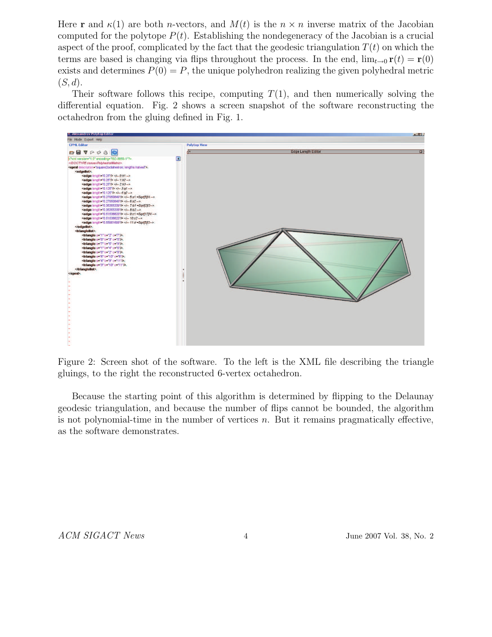Here **r** and  $\kappa(1)$  are both *n*-vectors, and  $M(t)$  is the  $n \times n$  inverse matrix of the Jacobian computed for the polytope  $P(t)$ . Establishing the nondegeneracy of the Jacobian is a crucial aspect of the proof, complicated by the fact that the geodesic triangulation  $T(t)$  on which the terms are based is changing via flips throughout the process. In the end,  $\lim_{t\to 0} \mathbf{r}(t) = \mathbf{r}(0)$ exists and determines  $P(0) = P$ , the unique polyhedron realizing the given polyhedral metric  $(S, d)$ .

Their software follows this recipe, computing  $T(1)$ , and then numerically solving the differential equation. Fig. 2 shows a screen snapshot of the software reconstructing the octahedron from the gluing defined in Fig. 1.



Figure 2: Screen shot of the software. To the left is the XML file describing the triangle gluings, to the right the reconstructed 6-vertex octahedron.

Because the starting point of this algorithm is determined by flipping to the Delaunay geodesic triangulation, and because the number of flips cannot be bounded, the algorithm is not polynomial-time in the number of vertices  $n$ . But it remains pragmatically effective, as the software demonstrates.